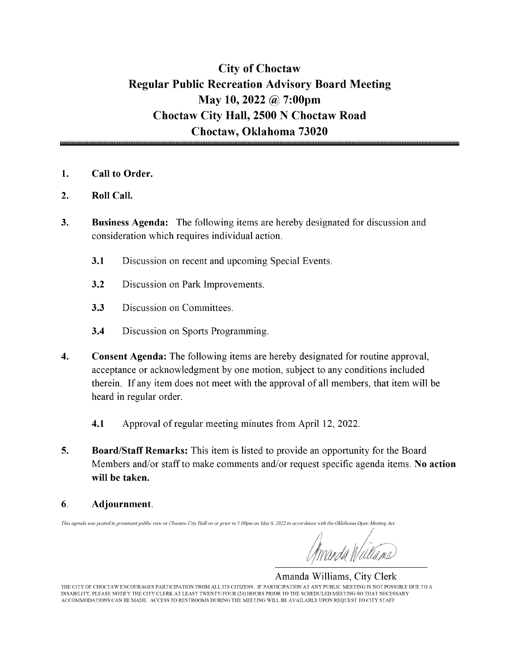## City of Choctaw Regular Public Recreation Advisory Board Meeting May 10, 2022 @ 7:00pm Choctaw City Hall, 2500 N Choctaw Road Choctaw, Oklahoma 73020

- 1. Call to Order.
- 2. Roll Call.
- 3. Business Agenda: The following items are hereby designated for discussion and consideration which requires individual action.
	- 3.1 Discussion on recent and upcoming Special Events.
	- 3.2 Discussion on Park Improvements.
	- 3.3 Discussion on Committees.
	- 3.4 Discussion on Sports Programming.
- 4. Consent Agenda: The following items are hereby designated for routine approval, acceptance or acknowledgment by one motion, subject to any conditions included therein. If any item does not meet with the approval of all members, that item will be heard in regular order.
	- 4.1 Approval of regular meeting minutes from April 12, 2022.
- 5. Board/Staff Remarks: This item is listed to provide an opportunity for the Board Members and/or staff to make comments and/or request specific agenda items. No action will be taken.
- 6. Adjournment.

This agenda was posted in prominent public view at Choctaw City Hall on or prior to 5:00pm on May 6, 2022 in accordance with the Oklahoma Open Meeting Act

Amanda Williams, City Clerk THE CITY OF CHOCTAW ENCOURAGES PARTICIPATION FROM ALL ITS CITIZENS. IF PARTICIPATION AT ANY PUBLIC MEETING IS NOT POSSIBLE DUE TO A DISABILITY, PLEASE NOTIFY THE CITY CLERK AT LEAST TWENTY-FOUR( 24) HOURS PRIOR TO THE SCHEDULED MEETING SO THAT NECESSARY ACCOMMODATIONS CAN BE MADE. ACCESS TO RESTROOMS DURING THE MEETING WILL BE AVAILABLE UPON REQUEST TO CITY STAFF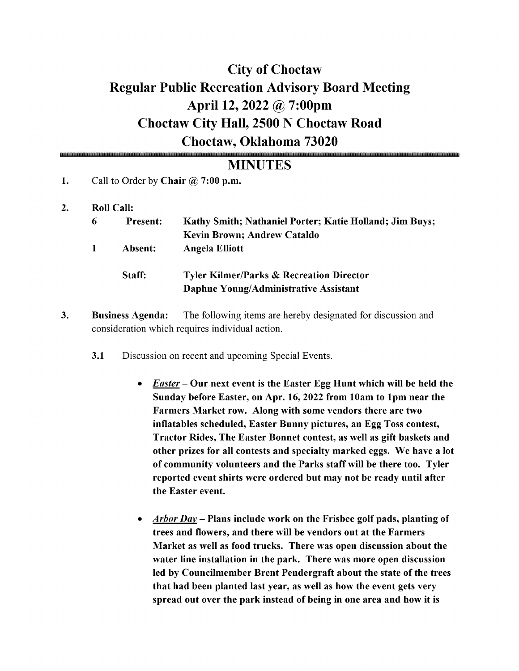# City of Choctaw Regular Public Recreation Advisory Board Meeting April 12, 2022 @ 7:00pm Choctaw City Hall, 2500 N Choctaw Road Choctaw, Oklahoma 73020

### **MINUTES**

- 1. Call to Order by Chair  $\omega$  7:00 p.m.
- 2. Roll Call:

| 6 | <b>Present:</b> | <b>Kathy Smith; Nathaniel Porter; Katie Holland; Jim Buys;</b><br><b>Kevin Brown; Andrew Cataldo</b> |
|---|-----------------|------------------------------------------------------------------------------------------------------|
|   | Absent:         | <b>Angela Elliott</b>                                                                                |
|   | Staff:          | <b>Tyler Kilmer/Parks &amp; Recreation Director</b><br>Daphne Young/Administrative Assistant         |

- 3. Business Agenda: The following items are hereby designated for discussion and consideration which requires individual action.
	- 3.1 Discussion on recent and upcoming Special Events.
		- *Easter* Our next event is the Easter Egg Hunt which will be held the  $\bullet$ Sunday before Easter, on Apr. 16, 2022 from 10am to 1pm near the Farmers Market row. Along with some vendors there are two inflatables scheduled, Easter Bunny pictures, an Egg Toss contest, Tractor Rides, The Easter Bonnet contest, as well as gift baskets and other prizes for all contests and specialty marked eggs. We have a lot of community volunteers and the Parks staff will be there too. Tyler reported event shirts were ordered but may not be ready until after the Easter event.
		- Arbor Day Plans include work on the Frisbee golf pads, planting of trees and flowers, and there will be vendors out at the Farmers Market as well as food trucks. There was open discussion about the water line installation in the park. There was more open discussion led by Councilmember Brent Pendergraft about the state of the trees that had been planted last year, as well as how the event gets very spread out over the park instead of being in one area and how it is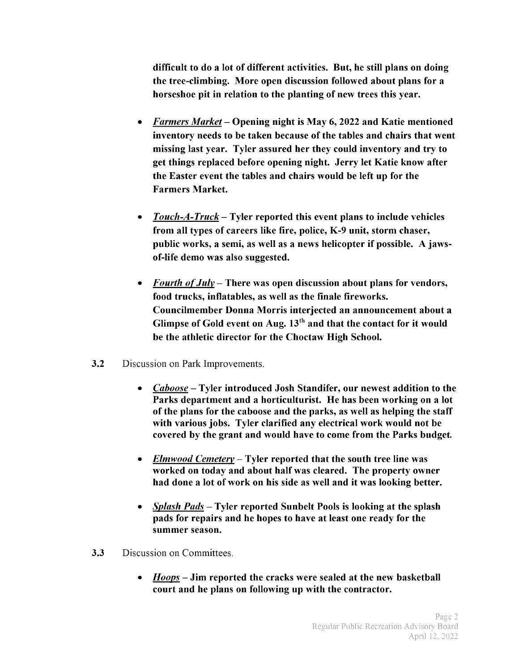difficult to do a lot of different activities. But, he still plans on doing the tree- climbing. More open discussion followed about plans for a horseshoe pit in relation to the planting of new trees this year.

- Farmers Market— Opening night is May 6, 2022 and Katie mentioned inventory needs to be taken because of the tables and chairs that went missing last year. Tyler assured her they could inventory and try to get things replaced before opening night. Jerry let Katie know after the Easter event the tables and chairs would be left up for the Farmers Market.
- $Touch-A-Truck-Tyler reported this event plans to include vehicles$  $\bullet$ from all types of careers like fire, police, K-9 unit, storm chaser, public works, a semi, as well as <sup>a</sup> news helicopter if possible. A jawsof-life demo was also suggested.
- Fourth of  $July$  There was open discussion about plans for vendors, food trucks, inflatables, as well as the finale fireworks. Councilmember Donna Morris interjected an announcement about a Glimpse of Gold event on Aug.  $13<sup>th</sup>$  and that the contact for it would be the athletic director for the Choctaw High School.
- 3.2 Discussion on Park Improvements.
	- Caboose— Tyler introduced Josh Standifer, our newest addition to the Parks department and a horticulturist. He has been working on a lot of the plans for the caboose and the parks, as well as helping the staff with various jobs. Tyler clarified any electrical work would not be covered by the grant and would have to come from the Parks budget.
	- $Elmwood Center$  Tyler reported that the south tree line was worked on today and about half was cleared. The property owner had done <sup>a</sup> lot of work on his side as well and it was looking better.
	- Splash Pads— Tyler reported Sunbelt Pools is looking at the splash pads for repairs and he hopes to have at least one ready for the summer season.
- **3.3** Discussion on Committees.
	- Hoops— Jim reported the cracks were sealed at the new basketball  $\bullet$ court and he plans on following up with the contractor.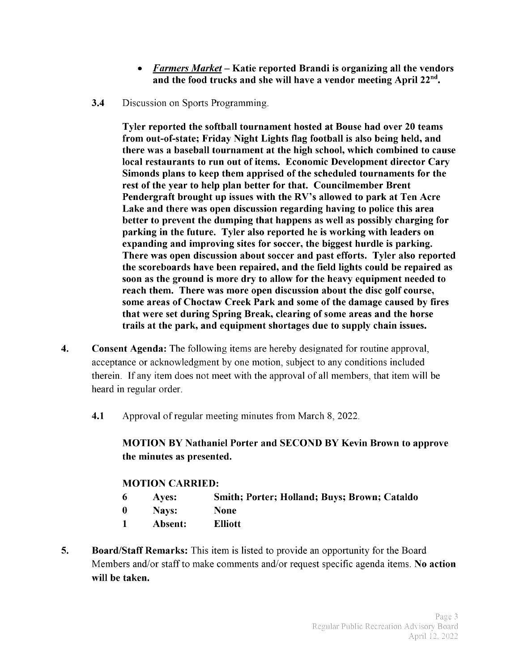- Farmers Market— Katie reported Brandi is organizing all the vendors and the food trucks and she will have a vendor meeting April  $22<sup>nd</sup>$ .
- 3.4 Discussion on Sports Programming.

Tyler reported the softball tournament hosted at Bouse had over 20 teams from out-of-state; Friday Night Lights flag football is also being held, and there was a baseball tournament at the high school, which combined to cause local restaurants to run out of items. Economic Development director Cary Simonds plans to keep them apprised of the scheduled tournaments for the rest of the year to help plan better for that. Councilmember Brent Pendergraft brought up issues with the RV's allowed to park at Ten Acre Lake and there was open discussion regarding having to police this area better to prevent the dumping that happens as well as possibly charging for parking in the future. Tyler also reported he is working with leaders on expanding and improving sites for soccer, the biggest hurdle is parking. There was open discussion about soccer and past efforts. Tyler also reported the scoreboards have been repaired, and the field lights could be repaired as soon as the ground is more dry to allow for the heavy equipment needed to reach them. There was more open discussion about the disc golf course, some areas of Choctaw Creek Park and some of the damage caused by fires that were set during Spring Break, clearing of some areas and the horse trails at the park, and equipment shortages due to supply chain issues.

- 4. Consent Agenda: The following items are hereby designated for routine approval, acceptance or acknowledgment by one motion, subject to any conditions included therein. If any item does not meet with the approval of all members, that item will be heard in regular order.
	- 4.1 Approval of regular meeting minutes from March 8, 2022.

MOTION BY Nathaniel Porter and SECOND BY Kevin Brown to approve the minutes as presented.

#### MOTION CARRIED:

| 6 | <b>Aves:</b> | <b>Smith; Porter; Holland; Buys; Brown; Cataldo</b> |
|---|--------------|-----------------------------------------------------|
|   | Nays:        | None                                                |

- <sup>1</sup> Absent: Elliott
- 
- 5. Board/Staff Remarks: This item is listed to provide an opportunity for the Board Members and/or staff to make comments and/or request specific agenda items. No action will be taken.